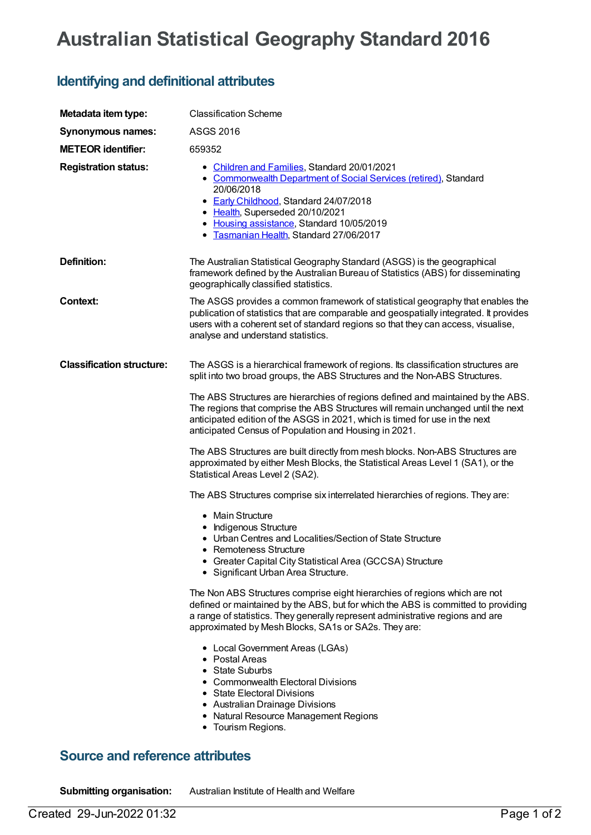## **Australian Statistical Geography Standard 2016**

## **Identifying and definitional attributes**

| Metadata item type:                    | <b>Classification Scheme</b>                                                                                                                                                                                                                                                                                  |
|----------------------------------------|---------------------------------------------------------------------------------------------------------------------------------------------------------------------------------------------------------------------------------------------------------------------------------------------------------------|
| <b>Synonymous names:</b>               | <b>ASGS 2016</b>                                                                                                                                                                                                                                                                                              |
| <b>METEOR identifier:</b>              | 659352                                                                                                                                                                                                                                                                                                        |
| <b>Registration status:</b>            | • Children and Families, Standard 20/01/2021<br>• Commonwealth Department of Social Services (retired), Standard<br>20/06/2018<br>• Early Childhood, Standard 24/07/2018<br>• Health, Superseded 20/10/2021<br>• Housing assistance, Standard 10/05/2019<br>• Tasmanian Health, Standard 27/06/2017           |
| <b>Definition:</b>                     | The Australian Statistical Geography Standard (ASGS) is the geographical<br>framework defined by the Australian Bureau of Statistics (ABS) for disseminating<br>geographically classified statistics.                                                                                                         |
| <b>Context:</b>                        | The ASGS provides a common framework of statistical geography that enables the<br>publication of statistics that are comparable and geospatially integrated. It provides<br>users with a coherent set of standard regions so that they can access, visualise,<br>analyse and understand statistics.           |
| <b>Classification structure:</b>       | The ASGS is a hierarchical framework of regions. Its classification structures are<br>split into two broad groups, the ABS Structures and the Non-ABS Structures.                                                                                                                                             |
|                                        | The ABS Structures are hierarchies of regions defined and maintained by the ABS.<br>The regions that comprise the ABS Structures will remain unchanged until the next<br>anticipated edition of the ASGS in 2021, which is timed for use in the next<br>anticipated Census of Population and Housing in 2021. |
|                                        | The ABS Structures are built directly from mesh blocks. Non-ABS Structures are<br>approximated by either Mesh Blocks, the Statistical Areas Level 1 (SA1), or the<br>Statistical Areas Level 2 (SA2).                                                                                                         |
|                                        | The ABS Structures comprise six interrelated hierarchies of regions. They are:                                                                                                                                                                                                                                |
|                                        | • Main Structure<br>• Indigenous Structure<br>• Urban Centres and Localities/Section of State Structure<br>Remoteness Structure<br>• Greater Capital City Statistical Area (GCCSA) Structure<br>• Significant Urban Area Structure.                                                                           |
|                                        | The Non ABS Structures comprise eight hierarchies of regions which are not<br>defined or maintained by the ABS, but for which the ABS is committed to providing<br>a range of statistics. They generally represent administrative regions and are<br>approximated by Mesh Blocks, SA1s or SA2s. They are:     |
|                                        | • Local Government Areas (LGAs)<br>• Postal Areas<br>• State Suburbs<br>• Commonwealth Electoral Divisions<br>• State Electoral Divisions<br>• Australian Drainage Divisions<br>• Natural Resource Management Regions<br>• Tourism Regions.                                                                   |
| <b>Source and reference attributes</b> |                                                                                                                                                                                                                                                                                                               |

**Submitting organisation:** Australian Institute of Health and Welfare